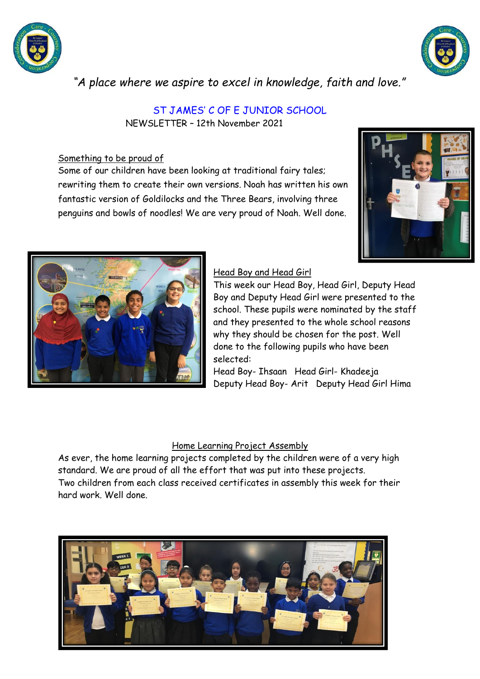



*"A place where we aspire to excel in knowledge, faith and love."*

ST JAMES' C OF E JUNIOR SCHOOL

NEWSLETTER – 12th November 2021

# Something to be proud of

Some of our children have been looking at traditional fairy tales; rewriting them to create their own versions. Noah has written his own fantastic version of Goldilocks and the Three Bears, involving three penguins and bowls of noodles! We are very proud of Noah. Well done.





## Head Boy and Head Girl

This week our Head Boy, Head Girl, Deputy Head Boy and Deputy Head Girl were presented to the school. These pupils were nominated by the staff and they presented to the whole school reasons why they should be chosen for the post. Well done to the following pupils who have been selected:

Head Boy- Ihsaan Head Girl- Khadeeja Deputy Head Boy- Arit Deputy Head Girl Hima

# Home Learning Project Assembly

As ever, the home learning projects completed by the children were of a very high standard. We are proud of all the effort that was put into these projects. Two children from each class received certificates in assembly this week for their hard work. Well done.

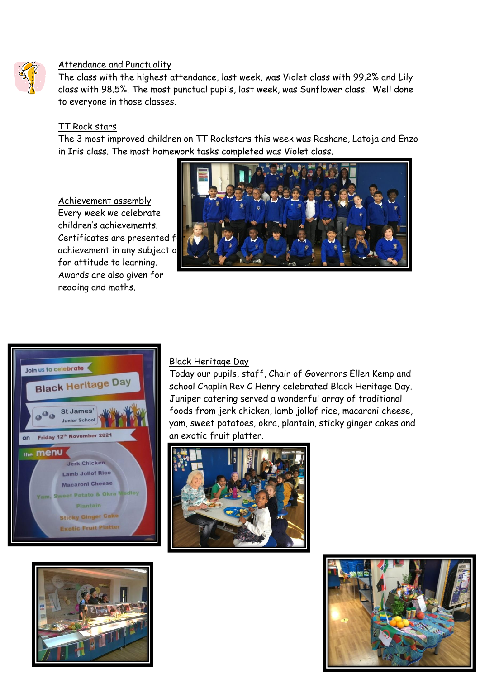

## Attendance and Punctuality

The class with the highest attendance, last week, was Violet class with 99.2% and Lily class with 98.5%. The most punctual pupils, last week, was Sunflower class. Well done to everyone in those classes.

#### TT Rock stars

The 3 most improved children on TT Rockstars this week was Rashane, Latoja and Enzo in Iris class. The most homework tasks completed was Violet class.

## Achievement assembly

Every week we celebrate children's achievements. Certificates are presented f achievement in any subject or for attitude to learning. Awards are also given for reading and maths.







## Black Heritage Day

Today our pupils, staff, Chair of Governors Ellen Kemp and school Chaplin Rev C Henry celebrated Black Heritage Day. Juniper catering served a wonderful array of traditional foods from jerk chicken, lamb jollof rice, macaroni cheese, yam, sweet potatoes, okra, plantain, sticky ginger cakes and an exotic fruit platter.